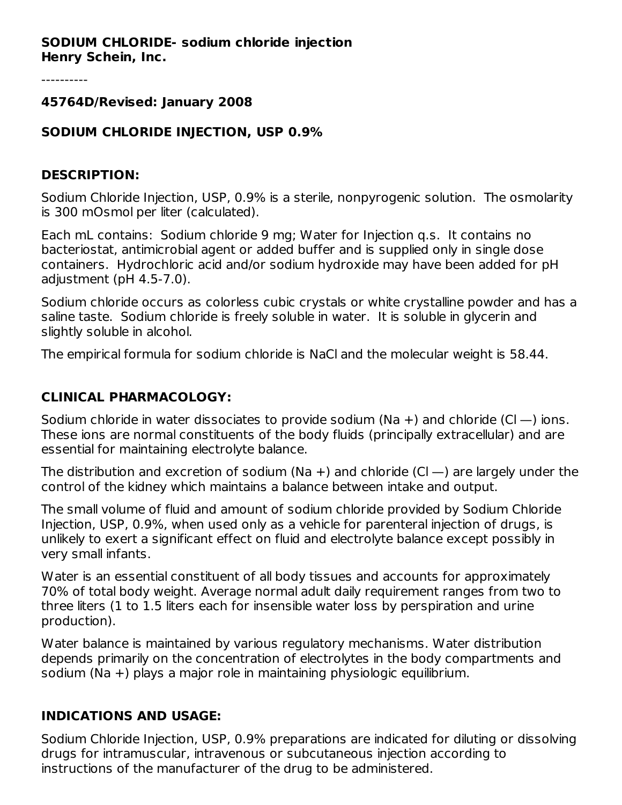#### **SODIUM CHLORIDE- sodium chloride injection Henry Schein, Inc.**

#### **45764D/Revised: January 2008**

### **SODIUM CHLORIDE INJECTION, USP 0.9%**

#### **DESCRIPTION:**

Sodium Chloride Injection, USP, 0.9% is a sterile, nonpyrogenic solution. The osmolarity is 300 mOsmol per liter (calculated).

Each mL contains: Sodium chloride 9 mg; Water for Injection q.s. It contains no bacteriostat, antimicrobial agent or added buffer and is supplied only in single dose containers. Hydrochloric acid and/or sodium hydroxide may have been added for pH adjustment (pH 4.5-7.0).

Sodium chloride occurs as colorless cubic crystals or white crystalline powder and has a saline taste. Sodium chloride is freely soluble in water. It is soluble in glycerin and slightly soluble in alcohol.

The empirical formula for sodium chloride is NaCl and the molecular weight is 58.44.

### **CLINICAL PHARMACOLOGY:**

Sodium chloride in water dissociates to provide sodium (Na  $+$ ) and chloride (Cl  $-$ ) ions. These ions are normal constituents of the body fluids (principally extracellular) and are essential for maintaining electrolyte balance.

The distribution and excretion of sodium (Na  $+$ ) and chloride (Cl  $-$ ) are largely under the control of the kidney which maintains a balance between intake and output.

The small volume of fluid and amount of sodium chloride provided by Sodium Chloride Injection, USP, 0.9%, when used only as a vehicle for parenteral injection of drugs, is unlikely to exert a significant effect on fluid and electrolyte balance except possibly in very small infants.

Water is an essential constituent of all body tissues and accounts for approximately 70% of total body weight. Average normal adult daily requirement ranges from two to three liters (1 to 1.5 liters each for insensible water loss by perspiration and urine production).

Water balance is maintained by various regulatory mechanisms. Water distribution depends primarily on the concentration of electrolytes in the body compartments and sodium (Na +) plays a major role in maintaining physiologic equilibrium.

#### **INDICATIONS AND USAGE:**

Sodium Chloride Injection, USP, 0.9% preparations are indicated for diluting or dissolving drugs for intramuscular, intravenous or subcutaneous injection according to instructions of the manufacturer of the drug to be administered.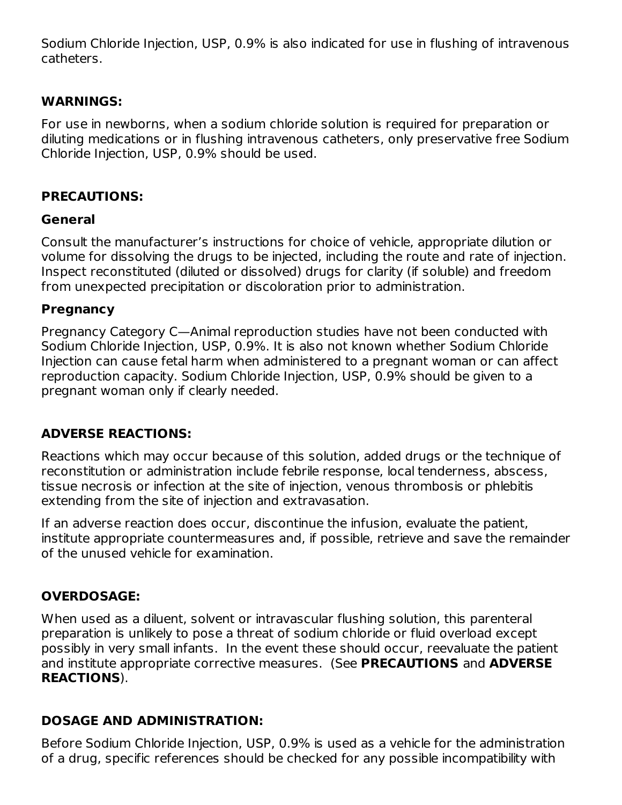Sodium Chloride Injection, USP, 0.9% is also indicated for use in flushing of intravenous catheters.

## **WARNINGS:**

For use in newborns, when a sodium chloride solution is required for preparation or diluting medications or in flushing intravenous catheters, only preservative free Sodium Chloride Injection, USP, 0.9% should be used.

## **PRECAUTIONS:**

## **General**

Consult the manufacturer's instructions for choice of vehicle, appropriate dilution or volume for dissolving the drugs to be injected, including the route and rate of injection. Inspect reconstituted (diluted or dissolved) drugs for clarity (if soluble) and freedom from unexpected precipitation or discoloration prior to administration.

## **Pregnancy**

Pregnancy Category C—Animal reproduction studies have not been conducted with Sodium Chloride Injection, USP, 0.9%. It is also not known whether Sodium Chloride Injection can cause fetal harm when administered to a pregnant woman or can affect reproduction capacity. Sodium Chloride Injection, USP, 0.9% should be given to a pregnant woman only if clearly needed.

# **ADVERSE REACTIONS:**

Reactions which may occur because of this solution, added drugs or the technique of reconstitution or administration include febrile response, local tenderness, abscess, tissue necrosis or infection at the site of injection, venous thrombosis or phlebitis extending from the site of injection and extravasation.

If an adverse reaction does occur, discontinue the infusion, evaluate the patient, institute appropriate countermeasures and, if possible, retrieve and save the remainder of the unused vehicle for examination.

# **OVERDOSAGE:**

When used as a diluent, solvent or intravascular flushing solution, this parenteral preparation is unlikely to pose a threat of sodium chloride or fluid overload except possibly in very small infants. In the event these should occur, reevaluate the patient and institute appropriate corrective measures. (See **PRECAUTIONS** and **ADVERSE REACTIONS**).

# **DOSAGE AND ADMINISTRATION:**

Before Sodium Chloride Injection, USP, 0.9% is used as a vehicle for the administration of a drug, specific references should be checked for any possible incompatibility with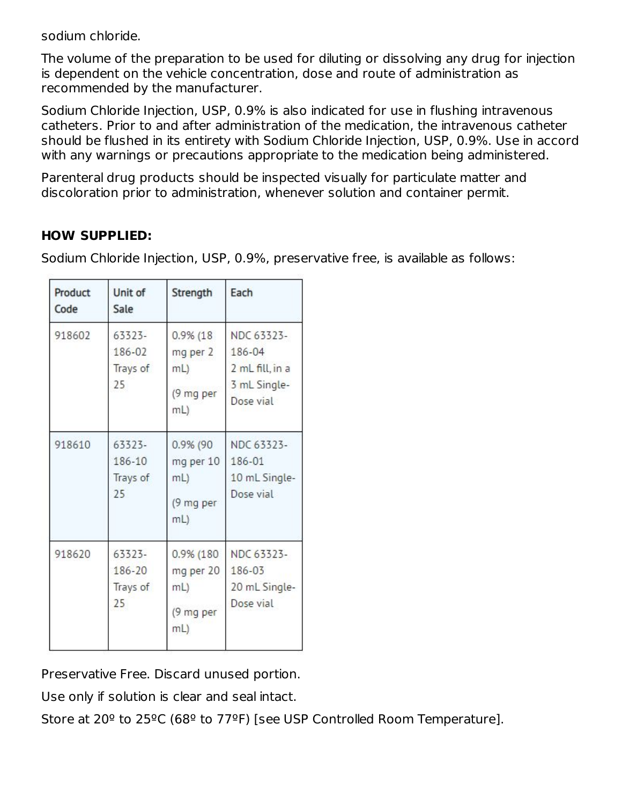sodium chloride.

The volume of the preparation to be used for diluting or dissolving any drug for injection is dependent on the vehicle concentration, dose and route of administration as recommended by the manufacturer.

Sodium Chloride Injection, USP, 0.9% is also indicated for use in flushing intravenous catheters. Prior to and after administration of the medication, the intravenous catheter should be flushed in its entirety with Sodium Chloride Injection, USP, 0.9%. Use in accord with any warnings or precautions appropriate to the medication being administered.

Parenteral drug products should be inspected visually for particulate matter and discoloration prior to administration, whenever solution and container permit.

# **HOW SUPPLIED:**

Sodium Chloride Injection, USP, 0.9%, preservative free, is available as follows:

| Product<br>Code | Unit of<br>Sale                    | Strength                                              | Each                                                                 |
|-----------------|------------------------------------|-------------------------------------------------------|----------------------------------------------------------------------|
| 918602          | 63323-<br>186-02<br>Trays of<br>25 | $0.9\%$ (18)<br>mg per 2<br>mL<br>(9 mg per<br>$mL$ ) | NDC 63323-<br>186-04<br>2 mL fill, in a<br>3 mL Single-<br>Dose vial |
| 918610          | 63323-<br>186-10<br>Trays of<br>25 | 0.9% (90<br>mg per 10<br>mL)<br>(9 mg per<br>mL)      | NDC 63323-<br>186-01<br>10 mL Single-<br>Dose vial                   |
| 918620          | 63323-<br>186-20<br>Trays of<br>25 | 0.9% (180<br>mg per 20<br>mL<br>(9 mg per<br>mL)      | NDC 63323-<br>186-03<br>20 mL Single-<br>Dose vial                   |

Preservative Free. Discard unused portion.

Use only if solution is clear and seal intact.

Store at 20º to 25ºC (68º to 77ºF) [see USP Controlled Room Temperature].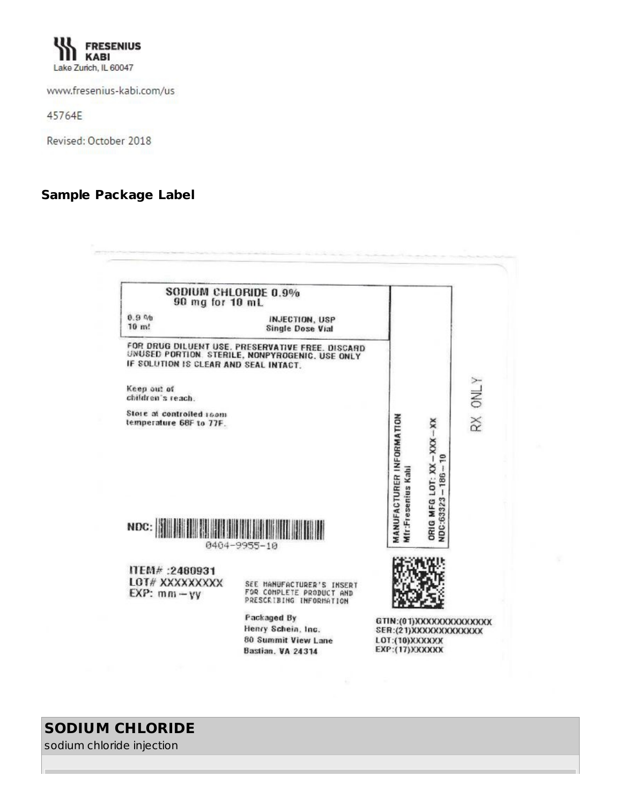

www.fresenius-kabi.com/us

45764E

Revised: October 2018

#### **Sample Package Label**



# **SODIUM CHLORIDE**

sodium chloride injection